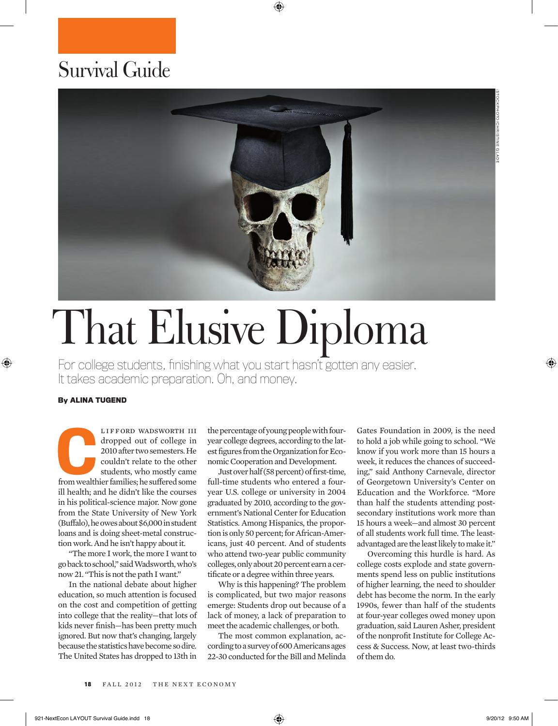## Survival Guide



## That Elusive Diploma

For college students, finishing what you start hasn't gotten any easier. It takes academic preparation. Oh, and money.

## **By ALINA TUGEND**

LIFFORD WADSWORTH III<br>dropped out of college in<br>2010 after two semesters. He<br>couldn't relate to the other<br>students, who mostly came<br>from wealthier families; he suffered some LIFFORD WADSWORTH III dropped out of college in 2010 after two semesters. He couldn't relate to the other students, who mostly came ill health; and he didn't like the courses in his political-science major. Now gone from the State University of New York (Buffalo), he owes about \$6,000 in student loans and is doing sheet-metal construction work. And he isn't happy about it.

"The more I work, the more I want to go back to school," said Wadsworth, who's now 21. "This is not the path I want."

In the national debate about higher education, so much attention is focused on the cost and competition of getting into college that the reality—that lots of kids never finish—has been pretty much ignored. But now that's changing, largely because the statistics have become so dire. The United States has dropped to 13th in

the percentage of young people with fouryear college degrees, according to the latest figures from the Organization for Economic Cooperation and Development.

Just over half (58 percent) of first-time, full-time students who entered a fouryear U.S. college or university in 2004 graduated by 2010, according to the government's National Center for Education Statistics. Among Hispanics, the proportion is only 50 percent; for African-Americans, just 40 percent. And of students who attend two-year public community colleges, only about 20 percent earn a certificate or a degree within three years.

Why is this happening? The problem is complicated, but two major reasons emerge: Students drop out because of a lack of money, a lack of preparation to meet the academic challenges, or both.

The most common explanation, according to a survey of 600 Americans ages 22-30 conducted for the Bill and Melinda Gates Foundation in 2009, is the need to hold a job while going to school. "We know if you work more than 15 hours a week, it reduces the chances of succeeding," said Anthony Carnevale, director of Georgetown University's Center on Education and the Workforce. "More than half the students attending postsecondary institutions work more than 15 hours a week—and almost 30 percent of all students work full time. The leastadvantaged are the least likely to make it."

Overcoming this hurdle is hard. As college costs explode and state governments spend less on public institutions of higher learning, the need to shoulder debt has become the norm. In the early 1990s, fewer than half of the students at four-year colleges owed money upon graduation, said Lauren Asher, president of the nonprofit Institute for College Access & Success. Now, at least two-thirds of them do.